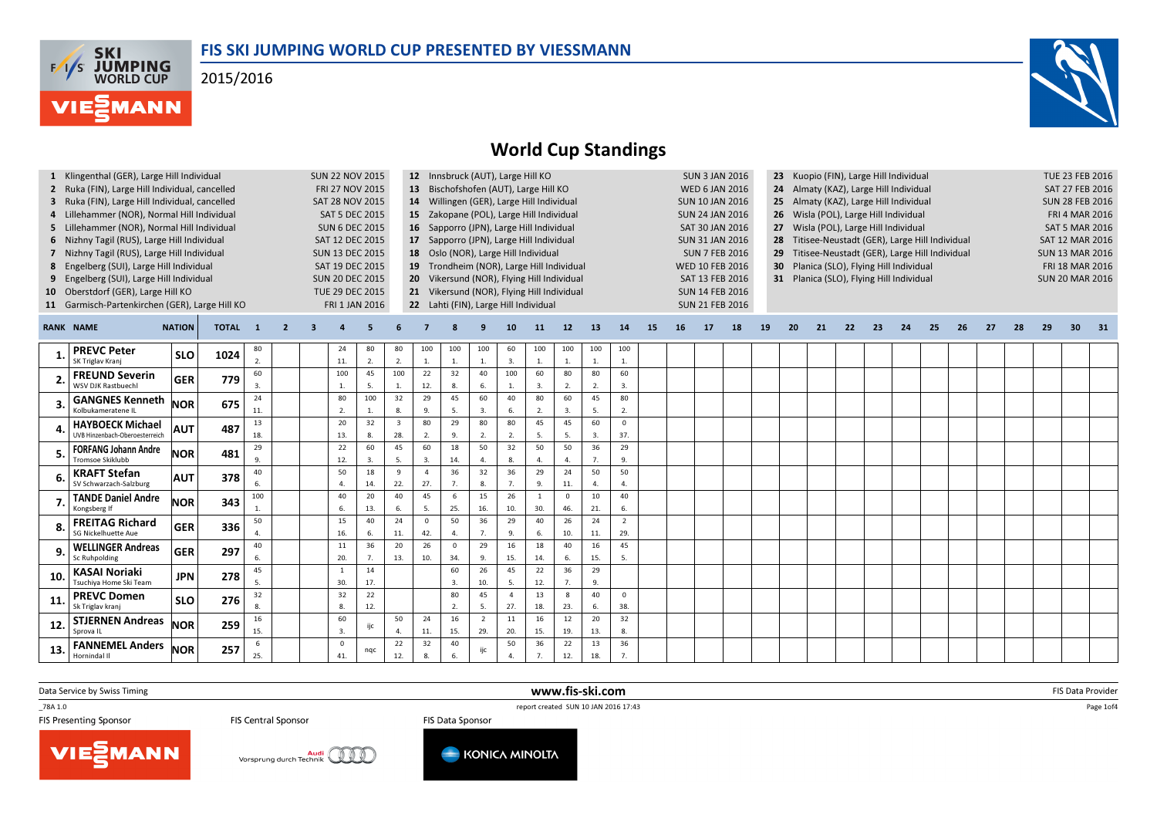## FIS SKI JUMPING WORLD CUP PRESENTED BY VIESSMANN

2015/2016





# World Cup Standings

|                 | 1 Klingenthal (GER), Large Hill Individual<br>2 Ruka (FIN), Large Hill Individual, cancelled<br>3 Ruka (FIN), Large Hill Individual, cancelled<br>4 Lillehammer (NOR), Normal Hill Individual<br>5 Lillehammer (NOR), Normal Hill Individual<br>6 Nizhny Tagil (RUS), Large Hill Individual<br>7 Nizhny Tagil (RUS), Large Hill Individual<br>8 Engelberg (SUI), Large Hill Individual<br>9 Engelberg (SUI), Large Hill Individual<br>10 Oberstdorf (GER), Large Hill KO<br>11 Garmisch-Partenkirchen (GER), Large Hill KO |               |              |                       |                |   | <b>SUN 22 NOV 2015</b><br>FRI 27 NOV 2015<br>SAT 28 NOV 2015<br><b>SAT 5 DEC 2015</b><br><b>SUN 6 DEC 2015</b><br>SAT 12 DEC 2015<br><b>SUN 13 DEC 2015</b><br>SAT 19 DEC 2015<br><b>SUN 20 DEC 2015</b><br>TUE 29 DEC 2015<br>FRI 1 JAN 2016 |           |                       | 13 <sup>2</sup>       |                                | 12 Innsbruck (AUT), Large Hill KO |                       | Bischofshofen (AUT), Large Hill KO<br>14 Willingen (GER), Large Hill Individual<br>15 Zakopane (POL), Large Hill Individual<br>16 Sapporro (JPN), Large Hill Individual<br>17 Sapporro (JPN), Large Hill Individual<br>18 Oslo (NOR), Large Hill Individual<br>19 Trondheim (NOR), Large Hill Individual<br>20 Vikersund (NOR), Flying Hill Individual<br>21 Vikersund (NOR), Flying Hill Individual<br>22 Lahti (FIN), Large Hill Individual |                       |                      |                       |    |    | <b>SUN 3 JAN 2016</b><br><b>WED 6 JAN 2016</b><br><b>SUN 10 JAN 2016</b><br><b>SUN 24 JAN 2016</b><br>SAT 30 JAN 2016<br><b>SUN 31 JAN 2016</b><br><b>SUN 7 FEB 2016</b><br><b>WED 10 FEB 2016</b><br>SAT 13 FEB 2016<br><b>SUN 14 FEB 2016</b><br><b>SUN 21 FEB 2016</b> |    |    | 23<br>24<br>25<br>26<br>27<br>29<br>30 | Kuopio (FIN), Large Hill Individual<br>Almaty (KAZ), Large Hill Individual<br>Almaty (KAZ), Large Hill Individual<br>Wisla (POL), Large Hill Individual<br>Wisla (POL), Large Hill Individual<br>28 Titisee-Neustadt (GER), Large Hill Individual<br>Titisee-Neustadt (GER), Large Hill Individual<br>Planica (SLO), Flying Hill Individual<br>31 Planica (SLO), Flying Hill Individual | TUE 23 FEB 2016<br>SAT 27 FEB 2016<br><b>SUN 28 FEB 2016</b><br><b>FRI 4 MAR 2016</b><br><b>SAT 5 MAR 2016</b><br><b>SAT 12 MAR 2016</b><br><b>SUN 13 MAR 2016</b><br><b>FRI 18 MAR 2016</b><br><b>SUN 20 MAR 2016</b> |    |    |    |    |    |    |    |                 |    |
|-----------------|----------------------------------------------------------------------------------------------------------------------------------------------------------------------------------------------------------------------------------------------------------------------------------------------------------------------------------------------------------------------------------------------------------------------------------------------------------------------------------------------------------------------------|---------------|--------------|-----------------------|----------------|---|-----------------------------------------------------------------------------------------------------------------------------------------------------------------------------------------------------------------------------------------------|-----------|-----------------------|-----------------------|--------------------------------|-----------------------------------|-----------------------|-----------------------------------------------------------------------------------------------------------------------------------------------------------------------------------------------------------------------------------------------------------------------------------------------------------------------------------------------------------------------------------------------------------------------------------------------|-----------------------|----------------------|-----------------------|----|----|---------------------------------------------------------------------------------------------------------------------------------------------------------------------------------------------------------------------------------------------------------------------------|----|----|----------------------------------------|-----------------------------------------------------------------------------------------------------------------------------------------------------------------------------------------------------------------------------------------------------------------------------------------------------------------------------------------------------------------------------------------|------------------------------------------------------------------------------------------------------------------------------------------------------------------------------------------------------------------------|----|----|----|----|----|----|----|-----------------|----|
|                 | <b>RANK NAME</b>                                                                                                                                                                                                                                                                                                                                                                                                                                                                                                           | <b>NATION</b> | <b>TOTAL</b> | $\mathbf{1}$          | $\overline{2}$ | 3 |                                                                                                                                                                                                                                               | 5         |                       |                       |                                |                                   | 10                    | 11                                                                                                                                                                                                                                                                                                                                                                                                                                            | $12$                  | 13                   | 14                    | 15 | 16 | 17                                                                                                                                                                                                                                                                        | 18 | 19 | 20                                     | 21                                                                                                                                                                                                                                                                                                                                                                                      | 22                                                                                                                                                                                                                     | 23 | 24 | 25 | 26 | 27 | 28 | 29 | 30 <sup>2</sup> | 31 |
|                 | <b>PREVC Peter</b><br>SK Triglav Kranj                                                                                                                                                                                                                                                                                                                                                                                                                                                                                     | <b>SLO</b>    | 1024         | 80<br>2.              |                |   | 24<br>11.                                                                                                                                                                                                                                     | 80<br>2.  | 80<br>2.              | 100<br>$\mathbf{1}$   | 100<br>$\mathbf{1}$            | 100<br>$\mathbf{1}$               | 60<br>3.              | 100<br>-1.                                                                                                                                                                                                                                                                                                                                                                                                                                    | 100<br>$\overline{1}$ | 100<br>1.            | 100<br>$\mathbf{1}$   |    |    |                                                                                                                                                                                                                                                                           |    |    |                                        |                                                                                                                                                                                                                                                                                                                                                                                         |                                                                                                                                                                                                                        |    |    |    |    |    |    |    |                 |    |
|                 | <b>FREUND Severin</b><br><b>WSV DJK Rastbuechl</b>                                                                                                                                                                                                                                                                                                                                                                                                                                                                         | <b>GER</b>    | 779          | 60<br>$\overline{3}$  |                |   | 100<br>1.                                                                                                                                                                                                                                     | 45<br>5.  | 100<br>1.             | 22<br>12.             | 32<br>8                        | 40<br>6.                          | 100<br>1.             | 60<br>$\overline{3}$                                                                                                                                                                                                                                                                                                                                                                                                                          | 80<br>2.              | 80<br>2.             | 60<br>3.              |    |    |                                                                                                                                                                                                                                                                           |    |    |                                        |                                                                                                                                                                                                                                                                                                                                                                                         |                                                                                                                                                                                                                        |    |    |    |    |    |    |    |                 |    |
|                 | <b>GANGNES Kenneth</b><br>Kolbukameratene II                                                                                                                                                                                                                                                                                                                                                                                                                                                                               | <b>NOR</b>    | 675          | 24<br>11.             |                |   | 80<br>2.                                                                                                                                                                                                                                      | 100<br>1. | 32<br>8.              | 29<br>9.              | 45<br>-5                       | 60<br>3                           | 40<br>6.              | 80<br>2.                                                                                                                                                                                                                                                                                                                                                                                                                                      | 60<br>3.              | 45<br>- 5.           | 80<br>$\mathcal{L}$   |    |    |                                                                                                                                                                                                                                                                           |    |    |                                        |                                                                                                                                                                                                                                                                                                                                                                                         |                                                                                                                                                                                                                        |    |    |    |    |    |    |    |                 |    |
|                 | <b>HAYBOECK Michael</b><br>UVB Hinzenbach-Oberoesterreich                                                                                                                                                                                                                                                                                                                                                                                                                                                                  | <b>AUT</b>    | 487          | 13<br>18.             |                |   | 20<br>13.                                                                                                                                                                                                                                     | 32<br>8.  | $\overline{3}$<br>28. | 80<br>2.              | 29<br>9.                       | 80<br>2.                          | 80<br>2.              | 45<br>-5.                                                                                                                                                                                                                                                                                                                                                                                                                                     | 45<br>5.              | 60<br>$\overline{3}$ | $\Omega$<br>37.       |    |    |                                                                                                                                                                                                                                                                           |    |    |                                        |                                                                                                                                                                                                                                                                                                                                                                                         |                                                                                                                                                                                                                        |    |    |    |    |    |    |    |                 |    |
|                 | <b>FORFANG Johann Andre</b><br>romsoe Skiklubb                                                                                                                                                                                                                                                                                                                                                                                                                                                                             | <b>NOR</b>    | 481          | 29<br>9.              |                |   | 22<br>12.                                                                                                                                                                                                                                     | 60<br>3.  | 45<br>5.              | 60<br>$\overline{3}$  | 18<br>14.                      | 50                                | 32<br>8.              | 50<br>$\overline{4}$                                                                                                                                                                                                                                                                                                                                                                                                                          | 50<br>$\overline{4}$  | 36<br>7.             | 29<br>9.              |    |    |                                                                                                                                                                                                                                                                           |    |    |                                        |                                                                                                                                                                                                                                                                                                                                                                                         |                                                                                                                                                                                                                        |    |    |    |    |    |    |    |                 |    |
|                 | <b>KRAFT Stefan</b><br>SV Schwarzach-Salzburg                                                                                                                                                                                                                                                                                                                                                                                                                                                                              | <b>AUT</b>    | 378          | 40<br>6.              |                |   | 50<br>4                                                                                                                                                                                                                                       | 18<br>14. | $\overline{9}$<br>22. | $\overline{a}$<br>27. | 36<br>$\overline{7}$           | 32<br>8.                          | 36<br>7.              | 29<br>9.                                                                                                                                                                                                                                                                                                                                                                                                                                      | 24<br>11.             | 50<br>$\Delta$       | 50<br>4               |    |    |                                                                                                                                                                                                                                                                           |    |    |                                        |                                                                                                                                                                                                                                                                                                                                                                                         |                                                                                                                                                                                                                        |    |    |    |    |    |    |    |                 |    |
|                 | <b>TANDE Daniel Andre</b><br>Kongsberg If                                                                                                                                                                                                                                                                                                                                                                                                                                                                                  | <b>NOR</b>    | 343          | 100<br>$\overline{1}$ |                |   | 40<br>6.                                                                                                                                                                                                                                      | 20<br>13. | 40<br>6.              | 45<br>5.              | 6<br>25.                       | 15<br>16.                         | 26<br>10.             | 30.                                                                                                                                                                                                                                                                                                                                                                                                                                           | $\Omega$<br>46.       | 10<br>21.            | 40<br>6.              |    |    |                                                                                                                                                                                                                                                                           |    |    |                                        |                                                                                                                                                                                                                                                                                                                                                                                         |                                                                                                                                                                                                                        |    |    |    |    |    |    |    |                 |    |
|                 | <b>FREITAG Richard</b><br>SG Nickelhuette Aue                                                                                                                                                                                                                                                                                                                                                                                                                                                                              | <b>GER</b>    | 336          | 50                    |                |   | 15<br>16.                                                                                                                                                                                                                                     | 40<br>6.  | 24<br>11.             | $\Omega$<br>42.       | 50<br>$\overline{4}$           | 36<br>$\overline{7}$              | 29<br>9.              | 40<br>-6.                                                                                                                                                                                                                                                                                                                                                                                                                                     | 26<br>10.             | 24<br>11.            | $\overline{2}$<br>29. |    |    |                                                                                                                                                                                                                                                                           |    |    |                                        |                                                                                                                                                                                                                                                                                                                                                                                         |                                                                                                                                                                                                                        |    |    |    |    |    |    |    |                 |    |
|                 | <b>WELLINGER Andreas</b><br>Sc Ruhpolding                                                                                                                                                                                                                                                                                                                                                                                                                                                                                  | <b>GER</b>    | 297          | 40<br>6               |                |   | 11<br>20.                                                                                                                                                                                                                                     | 36<br>7.  | 20<br>13.             | 26<br>10.             | $\mathbf{0}$<br>34.            | 29<br>9                           | 16<br>15.             | 18<br>14.                                                                                                                                                                                                                                                                                                                                                                                                                                     | 40<br>6.              | 16<br>15.            | 45<br>5.              |    |    |                                                                                                                                                                                                                                                                           |    |    |                                        |                                                                                                                                                                                                                                                                                                                                                                                         |                                                                                                                                                                                                                        |    |    |    |    |    |    |    |                 |    |
| 10              | KASAI Noriaki<br>Tsuchiya Home Ski Team                                                                                                                                                                                                                                                                                                                                                                                                                                                                                    | <b>JPN</b>    | 278          | 45                    |                |   | $\mathbf{1}$<br>30.                                                                                                                                                                                                                           | 14<br>17. |                       |                       | 60<br>$\overline{\mathbf{3}}$  | 26<br>10.                         | 45<br>5.              | 22<br>12.                                                                                                                                                                                                                                                                                                                                                                                                                                     | 36<br>$\overline{7}$  | 29<br>9.             |                       |    |    |                                                                                                                                                                                                                                                                           |    |    |                                        |                                                                                                                                                                                                                                                                                                                                                                                         |                                                                                                                                                                                                                        |    |    |    |    |    |    |    |                 |    |
| 11              | <b>PREVC Domen</b><br>Sk Triglav krani                                                                                                                                                                                                                                                                                                                                                                                                                                                                                     | <b>SLO</b>    | 276          | 32<br>8.              |                |   | 32<br>8.                                                                                                                                                                                                                                      | 22<br>12. |                       |                       | 80<br>$\overline{\mathcal{L}}$ | 45<br>5                           | $\overline{4}$<br>27. | 13<br>18.                                                                                                                                                                                                                                                                                                                                                                                                                                     | $\mathbf{R}$<br>23.   | 40<br>6.             | $\mathsf 0$<br>38.    |    |    |                                                                                                                                                                                                                                                                           |    |    |                                        |                                                                                                                                                                                                                                                                                                                                                                                         |                                                                                                                                                                                                                        |    |    |    |    |    |    |    |                 |    |
| 12              | <b>STJERNEN Andreas</b><br>Sprova IL                                                                                                                                                                                                                                                                                                                                                                                                                                                                                       | <b>NOR</b>    | 259          | 16<br>15.             |                |   | 60<br>3.                                                                                                                                                                                                                                      | ijc       | 50<br>4.              | 24<br>11.             | 16<br>15.                      | $\overline{2}$<br>29.             | $11\,$<br>20.         | 16<br>15.                                                                                                                                                                                                                                                                                                                                                                                                                                     | 12<br>19.             | 20<br>13.            | 32<br>8.              |    |    |                                                                                                                                                                                                                                                                           |    |    |                                        |                                                                                                                                                                                                                                                                                                                                                                                         |                                                                                                                                                                                                                        |    |    |    |    |    |    |    |                 |    |
| 13 <sub>1</sub> | <b>FANNEMEL Anders</b><br>Hornindal II                                                                                                                                                                                                                                                                                                                                                                                                                                                                                     | <b>NOR</b>    | 257          | 6<br>25.              |                |   | $\mathbf 0$<br>41.                                                                                                                                                                                                                            | nqc       | 22<br>12.             | 32<br>8.              | 40<br>6.                       | ijc                               | 50<br>$\overline{4}$  | 36                                                                                                                                                                                                                                                                                                                                                                                                                                            | 22<br>12.             | 13<br>18.            | 36                    |    |    |                                                                                                                                                                                                                                                                           |    |    |                                        |                                                                                                                                                                                                                                                                                                                                                                                         |                                                                                                                                                                                                                        |    |    |    |    |    |    |    |                 |    |

www.fis-ski.com

Data Service by Swiss Timing

\_78A 1.0

**VIESMANN** 

**FIS Central Sponsor** 

TO TRA 1.0<br>
FIS Central Sponsor<br>
FIS Central Sponsor<br>
FIS Data Sponsor<br>
FIS Data Sponsor



FIS Data Sponsor



m FIS Data Provider<br>IS 37:43

Page 1of4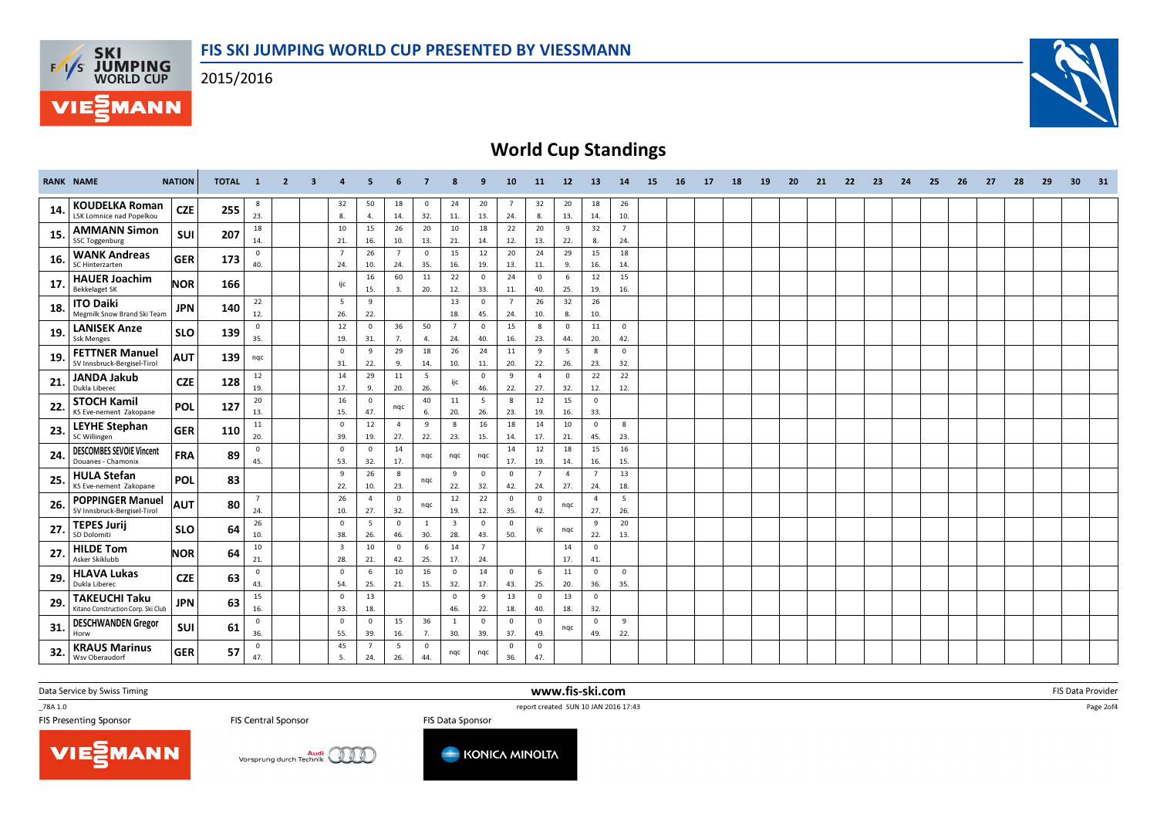2015/2016





# World Cup Standings

|     | <b>RANK NAME</b>                                           | <b>NATION</b> | <b>TOTAL</b> | $\blacksquare$        | $\overline{2}$ | $\overline{\mathbf{3}}$ | 4                              | 5                     | 6                     |                     |                                | 9                     | 10                             | 11                             | $12$                  | 13                    | 14                    | 15 | 16 | 17 | 18 | 19 | 20 | 21 | 22 | 23 | 24 | 25 | 26 | 27 | 28 | 29 | 30 | 31 |
|-----|------------------------------------------------------------|---------------|--------------|-----------------------|----------------|-------------------------|--------------------------------|-----------------------|-----------------------|---------------------|--------------------------------|-----------------------|--------------------------------|--------------------------------|-----------------------|-----------------------|-----------------------|----|----|----|----|----|----|----|----|----|----|----|----|----|----|----|----|----|
| 14  | <b>KOUDELKA Roman</b><br><b>LSK Lomnice nad Popelkou</b>   | <b>CZE</b>    | 255          | 8<br>23.              |                |                         | 32<br>8.                       | 50<br>4.              | 18<br>14.             | $\mathbf{0}$<br>32. | 24<br>11.                      | 20<br>13.             | $\overline{7}$<br>24.          | 32<br>8.                       | 20<br>13.             | 18<br>14.             | 26<br>10.             |    |    |    |    |    |    |    |    |    |    |    |    |    |    |    |    |    |
| 15. | <b>AMMANN Simon</b><br><b>SSC Toggenburg</b>               | SUI           | 207          | 18<br>14.             |                |                         | 10<br>21.                      | 15<br>16.             | 26<br>10.             | 20<br>13.           | 10<br>21.                      | 18<br>14.             | 22<br>12.                      | 20<br>13.                      | 9<br>22.              | 32<br>8.              | $\overline{7}$<br>24. |    |    |    |    |    |    |    |    |    |    |    |    |    |    |    |    |    |
| 16. | <b>WANK Andreas</b>                                        | <b>GER</b>    | 173          | $\mathbf 0$           |                |                         |                                | 26                    |                       | $\mathbf{0}$        | 15                             | 12                    | 20                             | 24                             | 29                    | 15                    | 18                    |    |    |    |    |    |    |    |    |    |    |    |    |    |    |    |    |    |
| 17  | SC Hinterzarten<br><b>HAUER Joachim</b>                    | <b>NOR</b>    | 166          | 40.                   |                |                         | 24.<br>ijc                     | 10.<br>16             | 24.<br>60             | 35.<br>11           | 16.<br>22                      | 19.<br>$\mathbf{0}$   | 13.<br>24                      | 11.<br>$\overline{0}$          | 9.<br>6               | 16.<br>12             | 14.<br>15             |    |    |    |    |    |    |    |    |    |    |    |    |    |    |    |    |    |
| 18. | <b>Bekkelaget SK</b><br><b>ITO Daiki</b>                   | <b>JPN</b>    | 140          | 22                    |                |                         | -5                             | 15.<br>9              | 3.                    | 20.                 | 12.<br>13                      | 33.<br>$\mathbf 0$    | 11.<br>$\overline{7}$          | 40.<br>26                      | 25.<br>32             | 19.<br>26             | 16.                   |    |    |    |    |    |    |    |    |    |    |    |    |    |    |    |    |    |
| 19. | Megmilk Snow Brand Ski Team<br><b>LANISEK Anze</b>         | <b>SLO</b>    | 139          | 12.<br>$\mathbf 0$    |                |                         | 26.<br>12                      | 22.<br>$\mathbf{0}$   | 36                    | 50                  | 18.<br>$\overline{7}$          | 45.<br>$\mathbf{0}$   | 24.<br>15                      | 10.<br>8                       | 8.<br>$\mathbf{0}$    | 10.<br>11             | $\mathbf 0$           |    |    |    |    |    |    |    |    |    |    |    |    |    |    |    |    |    |
| 19. | <b>Ssk Menges</b><br><b>FETTNER Manuel</b>                 | <b>AUT</b>    | 139          | 35.<br>nqc            |                |                         | 19.<br>$\mathbf 0$             | 31.<br>9              | 7.<br>29              | 4.<br>18            | 24.<br>26                      | 40.<br>24             | 16.<br>11                      | 23.<br>9                       | 44.<br>5              | 20.<br>8              | 42.<br>$\mathbf{0}$   |    |    |    |    |    |    |    |    |    |    |    |    |    |    |    |    |    |
| 21  | SV Innsbruck-Bergisel-Tirol<br><b>JANDA Jakub</b>          | <b>CZE</b>    | 128          | 12                    |                |                         | 31.<br>14                      | 22.<br>29             | 9.<br>11              | 14.<br>5            | 10.                            | 11.<br>$\mathbf{0}$   | 20.<br>9                       | 22.<br>$\overline{4}$          | 26.<br>$\overline{0}$ | 23.<br>22             | 32.<br>22             |    |    |    |    |    |    |    |    |    |    |    |    |    |    |    |    |    |
|     | Dukla Liberec                                              |               |              | 19.<br>20             |                |                         | 17.<br>16                      | 9.<br>$\mathbf{0}$    | 20.                   | 26.<br>40           | ijc<br>11                      | 46.<br>5              | 22.<br>8                       | 27.<br>12                      | 32.<br>15             | 12.<br>$\overline{0}$ | 12.                   |    |    |    |    |    |    |    |    |    |    |    |    |    |    |    |    |    |
| 22. | <b>STOCH Kamil</b><br>KS Eve-nement Zakopane               | <b>POL</b>    | 127          | 13.                   |                |                         | 15.                            | 47.                   | nqc                   | 6.                  | 20.                            | 26.                   | 23.                            | 19.                            | 16.                   | 33.                   |                       |    |    |    |    |    |    |    |    |    |    |    |    |    |    |    |    |    |
| 23. | <b>LEYHE Stephan</b><br>SC Willingen                       | GER           | 110          | 11<br>20.             |                |                         | $\mathbf 0$<br>39.             | 12<br>19.             | $\overline{4}$<br>27. | 9<br>22.            | 8<br>23.                       | 16<br>15.             | 18<br>14.                      | 14<br>17.                      | 10<br>21.             | $\mathbf 0$<br>45.    | 8<br>23.              |    |    |    |    |    |    |    |    |    |    |    |    |    |    |    |    |    |
| 24  | <b>DESCOMBES SEVOIE Vincent</b><br>Douanes - Chamonix      | <b>FRA</b>    | 89           | $\mathbf 0$<br>45.    |                |                         | $\mathbf 0$<br>53.             | $\mathbf 0$<br>32.    | 14<br>17.             | nqc                 | nqc                            | nqc                   | 14<br>17.                      | 12<br>19.                      | 18<br>14.             | 15<br>16.             | 16<br>15.             |    |    |    |    |    |    |    |    |    |    |    |    |    |    |    |    |    |
| 25. | <b>HULA Stefan</b><br>KS Eve-nement Zakopane               | POL           | 83           |                       |                |                         | 9<br>22.                       | 26<br>10.             | 8<br>23.              | nqc                 | 9<br>22.                       | $\mathbf{0}$<br>32.   | $\overline{0}$<br>42.          | $\overline{7}$<br>24.          | $\overline{a}$<br>27. | $\overline{7}$<br>24. | 13<br>18.             |    |    |    |    |    |    |    |    |    |    |    |    |    |    |    |    |    |
| 26. | <b>POPPINGER Manuel</b><br>SV Innsbruck-Bergisel-Tirol     | <b>AUT</b>    | 80           | $\overline{7}$<br>24. |                |                         | 26<br>10.                      | $\overline{4}$<br>27. | $\mathbf 0$<br>32.    | nqc                 | 12<br>19.                      | 22<br>12.             | $\overline{0}$<br>35.          | $\overline{0}$<br>42.          | nqc                   | $\overline{4}$<br>27. | 5<br>26.              |    |    |    |    |    |    |    |    |    |    |    |    |    |    |    |    |    |
| 27. | <b>TEPES Jurij</b><br>SD Dolomiti                          | <b>SLO</b>    | 64           | 26<br>10.             |                |                         | $\mathbf 0$<br>38.             | 5<br>26.              | $\Omega$<br>46.       | 1<br>30.            | $\overline{\mathbf{3}}$<br>28. | $\mathbf 0$<br>43.    | $\overline{0}$<br>50.          | ijc                            | nqc                   | 9<br>22.              | 20<br>13.             |    |    |    |    |    |    |    |    |    |    |    |    |    |    |    |    |    |
| 27  | <b>HILDE Tom</b><br>Asker Skiklubb                         | <b>NOR</b>    | 64           | 10<br>21.             |                |                         | $\overline{\mathbf{3}}$<br>28. | 10<br>21.             | 0<br>42.              | 6<br>25.            | 14<br>17.                      | $\overline{7}$<br>24. |                                |                                | 14<br>17.             | $\mathbf 0$<br>41.    |                       |    |    |    |    |    |    |    |    |    |    |    |    |    |    |    |    |    |
| 29. | <b>HLAVA Lukas</b><br>Dukla Liberec                        | <b>CZE</b>    | 63           | $\mathbf 0$<br>43.    |                |                         | $\mathbf 0$<br>54.             | 6<br>25.              | 10<br>21.             | 16<br>15.           | $\mathbf{0}$<br>32.            | 14<br>17.             | $\overline{0}$<br>43.          | 6<br>25.                       | 11<br>20.             | $\overline{0}$<br>36. | $\mathbf 0$<br>35.    |    |    |    |    |    |    |    |    |    |    |    |    |    |    |    |    |    |
| 29. | <b>TAKEUCHI Taku</b><br>Kitano Construction Corp. Ski Club | <b>JPN</b>    | 63           | 15<br>16.             |                |                         | $\mathbf 0$<br>33.             | 13<br>18.             |                       |                     | $\mathbf{0}$<br>46.            | 9<br>22.              | 13<br>18.                      | $\overline{\mathbf{0}}$<br>40. | 13<br>18.             | $\overline{0}$<br>32. |                       |    |    |    |    |    |    |    |    |    |    |    |    |    |    |    |    |    |
| 31. | <b>DESCHWANDEN Gregor</b><br>Horw                          | <b>SUI</b>    | 61           | $\mathbf 0$<br>36.    |                |                         | $^{\circ}$<br>55.              | $\mathbf{0}$<br>39.   | 15<br>16.             | 36<br>7.            | 1<br>30.                       | $\mathbf 0$<br>39.    | $\overline{0}$<br>37.          | $\mathbf{0}$<br>49.            | nqc                   | $\overline{0}$<br>49. | 9<br>22.              |    |    |    |    |    |    |    |    |    |    |    |    |    |    |    |    |    |
| 32. | <b>KRAUS Marinus</b><br>Wsv Oberaudorf                     | <b>GER</b>    | 57           | $\mathbf 0$<br>47.    |                |                         | 45<br>-5.                      | $\overline{7}$<br>24. | -5<br>26.             | $\mathbf 0$<br>44.  | nqc                            | nqc                   | $\overline{\mathbf{0}}$<br>36. | $\mathbf{0}$<br>47.            |                       |                       |                       |    |    |    |    |    |    |    |    |    |    |    |    |    |    |    |    |    |

Data Service by Swiss Timing

\_78A 1.0

VIESMANN

www.fis-ski.com



Audi Vorsprung durch Technik

FIS Data Sponsor



m FIS Data Provider<br>IS 37:43

Page 2of4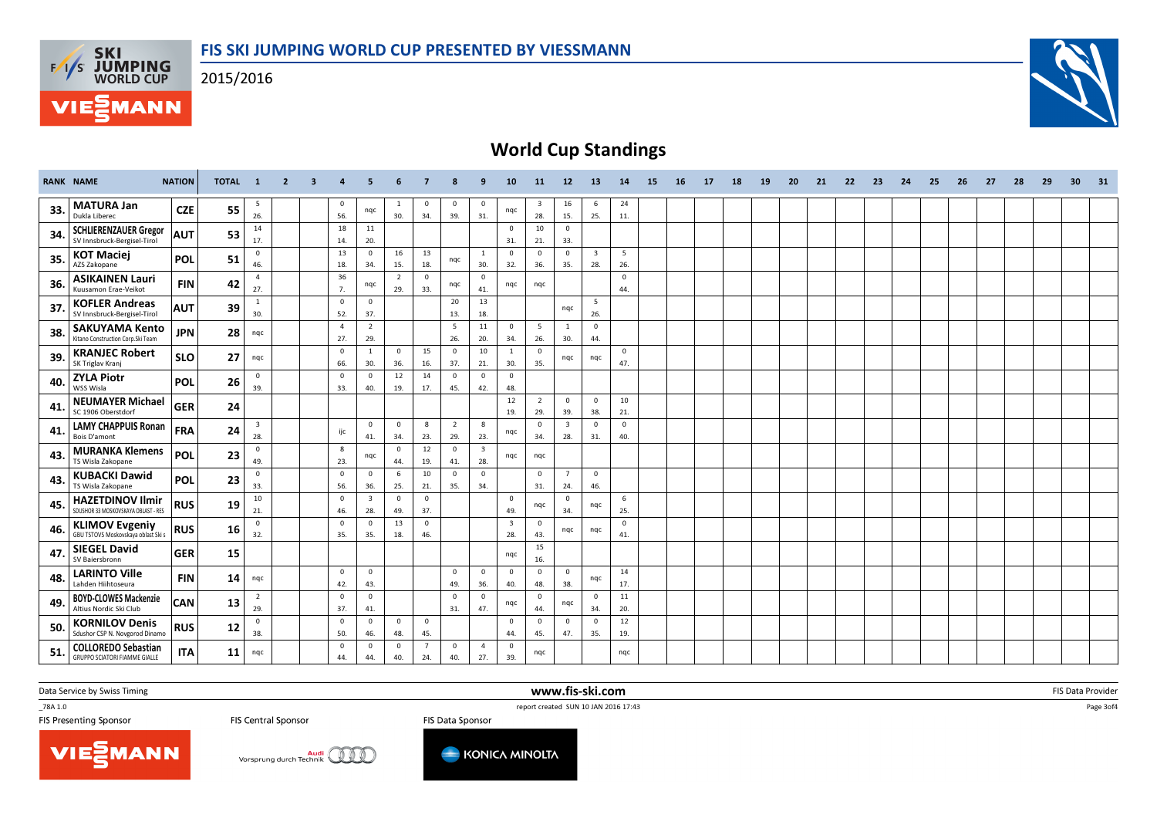2015/2016



# World Cup Standings

|     | <b>RANK NAME</b>                                                   | <b>NATION</b> | TOTAL 1 |                                | $\overline{2}$ | $\overline{\mathbf{3}}$ | $\overline{4}$        | 5                              | 6                   | $\overline{7}$        | 8                     | 9                              | 10 <sup>10</sup>               | <b>11</b>                      | 12                             | 13                             | 14                  | 15 | 16 | 17 | 18 | 19 | 20 | 21 | 22 | 23 | 24 | 25 | 26 | 27 | 28 | 29 | 30 <sub>1</sub> | 31 |
|-----|--------------------------------------------------------------------|---------------|---------|--------------------------------|----------------|-------------------------|-----------------------|--------------------------------|---------------------|-----------------------|-----------------------|--------------------------------|--------------------------------|--------------------------------|--------------------------------|--------------------------------|---------------------|----|----|----|----|----|----|----|----|----|----|----|----|----|----|----|-----------------|----|
| 33. | <b>MATURA Jan</b><br>Dukla Liberec                                 | <b>CZE</b>    | 55      | 5<br>26.                       |                |                         | $\mathbf 0$<br>56.    | nqc                            | 30.                 | $\mathbf 0$<br>34.    | $\mathbf 0$<br>39.    | $\mathbf 0$<br>31.             | nqc                            | $\overline{\mathbf{3}}$<br>28. | 16<br>15.                      | 6<br>25.                       | 24<br>11.           |    |    |    |    |    |    |    |    |    |    |    |    |    |    |    |                 |    |
| 34. | <b>SCHLIERENZAUER Gregor</b><br>SV Innsbruck-Bergisel-Tirol        | <b>AUT</b>    | 53      | 14<br>17.                      |                |                         | 18<br>14.             | 11<br>20.                      |                     |                       |                       |                                | $\mathbf 0$<br>31.             | 10<br>21.                      | $\overline{0}$<br>33.          |                                |                     |    |    |    |    |    |    |    |    |    |    |    |    |    |    |    |                 |    |
| 35. | <b>KOT Maciej</b><br>AZS Zakopane                                  | <b>POL</b>    | 51      | $\mathbf 0$<br>46.             |                |                         | 13<br>18.             | $\mathbf{0}$<br>34.            | 16<br>15.           | 13<br>18.             | nqc                   | $\overline{1}$<br>30.          | $\mathbf{0}$<br>32.            | $\overline{0}$<br>36.          | $\overline{0}$<br>35.          | $\overline{\mathbf{3}}$<br>28. | 5<br>26.            |    |    |    |    |    |    |    |    |    |    |    |    |    |    |    |                 |    |
| 36. | <b>ASIKAINEN Lauri</b><br>Kuusamon Erae-Veikot                     | <b>FIN</b>    | 42      | $\overline{4}$<br>27.          |                |                         | 36<br>7.              | nqc                            | 2<br>29.            | $\Omega$<br>33.       | nqc                   | $\Omega$<br>41.                | nqc                            | ngc                            |                                |                                | $\mathbf 0$<br>44.  |    |    |    |    |    |    |    |    |    |    |    |    |    |    |    |                 |    |
| 37. | <b>KOFLER Andreas</b><br>SV Innsbruck-Bergisel-Tirol               | <b>AUT</b>    | 39      | 1<br>30.                       |                |                         | $\mathbf 0$<br>52.    | $\mathbf{0}$<br>37.            |                     |                       | 20<br>13.             | 13<br>18.                      |                                |                                | nqc                            | 5<br>26.                       |                     |    |    |    |    |    |    |    |    |    |    |    |    |    |    |    |                 |    |
| 38. | <b>SAKUYAMA Kento</b><br>Kitano Construction Corp.Ski Team         | <b>JPN</b>    | 28      | ngc                            |                |                         | $\overline{a}$<br>27. | $\overline{2}$<br>29.          |                     |                       | - 5<br>26.            | 11<br>20.                      | $\mathbf 0$<br>34.             | 5<br>26.                       | 1<br>30.                       | $\overline{0}$<br>44.          |                     |    |    |    |    |    |    |    |    |    |    |    |    |    |    |    |                 |    |
| 39. | <b>KRANJEC Robert</b><br>SK Triglav Krani                          | <b>SLO</b>    | 27      | nqc                            |                |                         | $\mathbf 0$<br>66.    | $\mathbf{1}$<br>30.            | $\mathbf{0}$<br>36. | 15<br>16.             | $\mathbf{0}$<br>37.   | 10<br>21.                      | $\overline{1}$<br>30.          | $\Omega$<br>35.                | nqc                            | nqc                            | $\mathbf{0}$<br>47. |    |    |    |    |    |    |    |    |    |    |    |    |    |    |    |                 |    |
| 40  | <b>ZYLA Piotr</b><br>WSS Wisla                                     | POL           | 26      | $\mathbf 0$<br>39.             |                |                         | $\mathbf 0$<br>33.    | $\Omega$<br>40.                | 12<br>19.           | 14<br>17.             | $\mathbf{0}$<br>45.   | $\Omega$<br>42.                | $\mathbf 0$<br>48.             |                                |                                |                                |                     |    |    |    |    |    |    |    |    |    |    |    |    |    |    |    |                 |    |
| 41  | <b>NEUMAYER Michael</b><br>SC 1906 Oberstdorf                      | <b>GER</b>    | 24      |                                |                |                         |                       |                                |                     |                       |                       |                                | 12<br>19.                      | 2<br>29.                       | $\mathbf{0}$<br>39.            | $\mathbf{0}$<br>38.            | 10<br>21.           |    |    |    |    |    |    |    |    |    |    |    |    |    |    |    |                 |    |
| 41. | <b>LAMY CHAPPUIS Ronan</b><br>Bois D'amont                         | <b>FRA</b>    | 24      | $\overline{\mathbf{3}}$<br>28. |                |                         | ijc                   | $\mathbf{0}$<br>41.            | $\mathbf 0$<br>34.  | 8<br>23.              | $\overline{2}$<br>29. | 8<br>23.                       | nqc                            | $\mathbf{0}$<br>34.            | $\overline{\mathbf{3}}$<br>28. | $\mathbf{0}$<br>31.            | $\mathbf 0$<br>40.  |    |    |    |    |    |    |    |    |    |    |    |    |    |    |    |                 |    |
| 43  | <b>MURANKA Klemens</b><br>TS Wisla Zakopane                        | POL           | 23      | $\mathbf{0}$<br>49.            |                |                         | 8<br>23.              | nqc                            | $\mathbf{0}$<br>44. | 12<br>19.             | $\mathbf 0$<br>41.    | $\overline{\mathbf{3}}$<br>28. | nqc                            | ngc                            |                                |                                |                     |    |    |    |    |    |    |    |    |    |    |    |    |    |    |    |                 |    |
| 43. | <b>KUBACKI Dawid</b><br>TS Wisla Zakopane                          | POL           | 23      | $\mathbf{0}$<br>33.            |                |                         | $\mathbf 0$<br>56.    | $\Omega$<br>36.                | 6<br>25.            | 10<br>21.             | $\mathbf{0}$<br>35.   | $\Omega$<br>34.                |                                | $\mathbf{0}$<br>31.            | $\overline{7}$<br>24.          | $\Omega$<br>46.                |                     |    |    |    |    |    |    |    |    |    |    |    |    |    |    |    |                 |    |
| 45. | <b>HAZETDINOV Ilmir</b><br>SDUSHOR 33 MOSKOVSKAYA OBLAST - RES     | <b>RUS</b>    | 19      | 10<br>21.                      |                |                         | $\mathbf 0$<br>46.    | $\overline{\mathbf{3}}$<br>28. | $\mathbf{0}$<br>49. | $\Omega$<br>37.       |                       |                                | $\mathbf{0}$<br>49.            | nqc                            | $\mathbf{0}$<br>34.            | ngc                            | 6<br>25.            |    |    |    |    |    |    |    |    |    |    |    |    |    |    |    |                 |    |
| 46. | <b>KLIMOV Evgeniy</b><br>GBU TSTOVS Moskovskava oblast Ski s       | <b>RUS</b>    | 16      | $\mathbf{0}$<br>32.            |                |                         | $\mathbf 0$<br>35.    | $\Omega$<br>35.                | 13<br>18.           | $\overline{0}$<br>46. |                       |                                | $\overline{\mathbf{3}}$<br>28. | $\mathbf{0}$<br>43.            | ngc                            | ngc                            | $\mathbf 0$<br>41.  |    |    |    |    |    |    |    |    |    |    |    |    |    |    |    |                 |    |
| 47  | <b>SIEGEL David</b><br>SV Baiersbronn                              | <b>GER</b>    | 15      |                                |                |                         |                       |                                |                     |                       |                       |                                | ngc                            | 15<br>16.                      |                                |                                |                     |    |    |    |    |    |    |    |    |    |    |    |    |    |    |    |                 |    |
| 48. | <b>LARINTO Ville</b><br>Lahden Hiihtoseura                         | <b>FIN</b>    | 14      | nqc                            |                |                         | $\mathbf 0$<br>42.    | $\mathbf{0}$<br>43.            |                     |                       | $\mathbf{0}$<br>49.   | $\mathbf{0}$<br>36.            | $\overline{0}$<br>40.          | $\overline{0}$<br>48.          | $\overline{0}$<br>38.          | nqc                            | 14<br>17.           |    |    |    |    |    |    |    |    |    |    |    |    |    |    |    |                 |    |
| 49. | <b>BOYD-CLOWES Mackenzie</b><br>Altius Nordic Ski Club             | <b>CAN</b>    | 13      | $\overline{2}$<br>29.          |                |                         | $\mathbf 0$<br>37.    | $\mathbf{0}$<br>41.            |                     |                       | $\mathbf{0}$<br>31.   | $\Omega$<br>47.                | nqc                            | $\overline{0}$<br>44.          | ngc                            | $\overline{0}$<br>34.          | 11<br>20.           |    |    |    |    |    |    |    |    |    |    |    |    |    |    |    |                 |    |
| 50  | <b>KORNILOV Denis</b><br>Sdushor CSP N. Novgorod Dinamo            | <b>RUS</b>    | 12      | $\mathbf{0}$<br>38.            |                |                         | $\mathbf 0$<br>50.    | $\mathbf{0}$<br>46.            | $\mathbf{0}$<br>48. | $\overline{0}$<br>45. |                       |                                | $\mathbf{0}$<br>44.            | $\overline{0}$<br>45.          | $\overline{0}$<br>47.          | $\overline{0}$<br>35.          | 12<br>19.           |    |    |    |    |    |    |    |    |    |    |    |    |    |    |    |                 |    |
| 51. | <b>COLLOREDO Sebastian</b><br><b>GRUPPO SCIATORI FIAMME GIALLE</b> | <b>ITA</b>    | 11      | nqc                            |                |                         | $\mathbf 0$<br>44.    | $\mathbf{0}$<br>44.            | $\mathbf 0$<br>40.  | $\overline{7}$<br>24. | $\mathbf 0$<br>40.    | $\overline{4}$<br>27.          | $\mathbf{0}$<br>39.            | nqc                            |                                |                                | ngc                 |    |    |    |    |    |    |    |    |    |    |    |    |    |    |    |                 |    |

www.fis-ski.com

Data Service by Swiss Timing

\_78A 1.0

**FIS Central Sponsor** 

**Audi** Vorsprung durch Technik

TO TRA 1.0<br>
FIS Central Sponsor<br>
FIS Central Sponsor<br>
FIS Data Sponsor<br>
FIS Data Sponsor FIS Data Sponsor



m FIS Data Provider<br>IS 37:43

Page 3of4



**F/T/S SKI<br>WORLD CUP** 

**MANN**